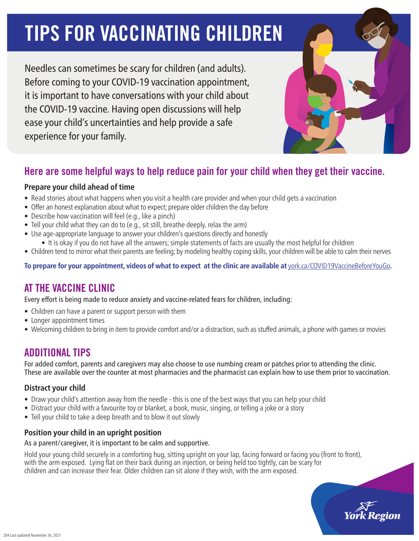# **TIPS FOR VACCINATING CHILDREN**

Needles can sometimes be scary for children (and adults). Before coming to your COVID-19 vaccination appointment, it is important to have conversations with your child about the COVID-19 vaccine. Having open discussions will help ease your child's uncertainties and help provide a safe experience for your family.

# Here are some helpful ways to help reduce pain for your child when they get their vaccine.

## **Prepare your child ahead of time**

- Read stories about what happens when you visit a health care provider and when your child gets a vaccination
- Offer an honest explanation about what to expect; prepare older children the day before
- Describe how vaccination will feel (e.g., like a pinch)
- Tell your child what they can do to (e.g., sit still, breathe deeply, relax the arm)
- Use age-appropriate language to answer your children's questions directly and honestly
	- It is okay if you do not have all the answers; simple statements of facts are usually the most helpful for children
- Children tend to mirror what their parents are feeling; by modeling healthy coping skills, your children will be able to calm their nerves

**To prepare for your appointment, videos of what to expect at the clinic are available at** [york.ca/COVID19VaccineBeforeYouGo](http://www.york.ca/COVID19VaccineBeforeYouGo)**.**

# AT THE VACCINE CLINIC

Every effort is being made to reduce anxiety and vaccine-related fears for children, including:

- Children can have a parent or support person with them
- Longer appointment times
- Welcoming children to bring in item to provide comfort and/or a distraction, such as stuffed animals, a phone with games or movies

# ADDITIONAL TIPS

For added comfort, parents and caregivers may also choose to use numbing cream or patches prior to attending the clinic. These are available over the counter at most pharmacies and the pharmacist can explain how to use them prior to vaccination.

## **Distract your child**

- Draw your child's attention away from the needle this is one of the best ways that you can help your child
- Distract your child with a favourite toy or blanket, a book, music, singing, or telling a joke or a story
- Tell your child to take a deep breath and to blow it out slowly

## **Position your child in an upright position**

## As a parent/caregiver, it is important to be calm and supportive.

Hold your young child securely in a comforting hug, sitting upright on your lap, facing forward or facing you (front to front), with the arm exposed. Lying flat on their back during an injection, or being held too tightly, can be scary for children and can increase their fear. Older children can sit alone if they wish, with the arm exposed.